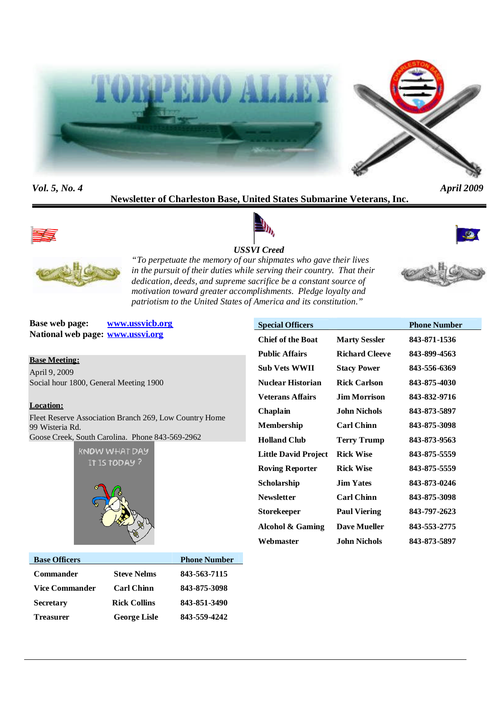

*Vol. 5, No. 4 April 2009*

## **Newsletter of Charleston Base, United States Submarine Veterans, Inc.**









*USSVI Creed "To perpetuate the memory of our shipmates who gave their lives in the pursuit of their duties while serving their country. That their dedication, deeds, and supreme sacrifice be a constant source of motivation toward greater accomplishments. Pledge loyalty and patriotism to the United States of America and its constitution."*

**Base web page: www.ussvicb.org National web page: www.ussvi.org**

**Base Meeting:**

April 9, 2009 Social hour 1800, General Meeting 1900

#### **Location:**

Fleet Reserve Association Branch 269, Low Country Home 99 Wisteria Rd.

Goose Creek, South Carolina. Phone 843-569-2962



| <b>Special Officers</b>     |                       | <b>Phone Number</b> |  |
|-----------------------------|-----------------------|---------------------|--|
| <b>Chief of the Boat</b>    | <b>Marty Sessler</b>  | 843-871-1536        |  |
| <b>Public Affairs</b>       | <b>Richard Cleeve</b> | 843-899-4563        |  |
| <b>Sub Vets WWII</b>        | <b>Stacy Power</b>    | 843-556-6369        |  |
| <b>Nuclear Historian</b>    | <b>Rick Carlson</b>   | 843-875-4030        |  |
| <b>Veterans Affairs</b>     | <b>Jim Morrison</b>   | 843-832-9716        |  |
| Chaplain                    | John Nichols          | 843-873-5897        |  |
| <b>Membership</b>           | <b>Carl Chinn</b>     | 843-875-3098        |  |
| <b>Holland Club</b>         | <b>Terry Trump</b>    | 843-873-9563        |  |
| <b>Little David Project</b> | <b>Rick Wise</b>      | 843-875-5559        |  |
| <b>Roving Reporter</b>      | <b>Rick Wise</b>      | 843-875-5559        |  |
| Scholarship                 | <b>Jim Yates</b>      | 843-873-0246        |  |
| <b>Newsletter</b>           | <b>Carl Chinn</b>     | 843-875-3098        |  |
| <b>Storekeeper</b>          | <b>Paul Viering</b>   | 843-797-2623        |  |
| <b>Alcohol &amp; Gaming</b> | <b>Dave Mueller</b>   | 843-553-2775        |  |
| Webmaster                   | <b>John Nichols</b>   | 843-873-5897        |  |

| <b>Base Officers</b>  |                     | <b>Phone Number</b> |
|-----------------------|---------------------|---------------------|
| Commander             | <b>Steve Nelms</b>  | 843-563-7115        |
| <b>Vice Commander</b> | <b>Carl Chinn</b>   | 843-875-3098        |
| <b>Secretary</b>      | <b>Rick Collins</b> | 843-851-3490        |
| <b>Treasurer</b>      | <b>George Lisle</b> | 843-559-4242        |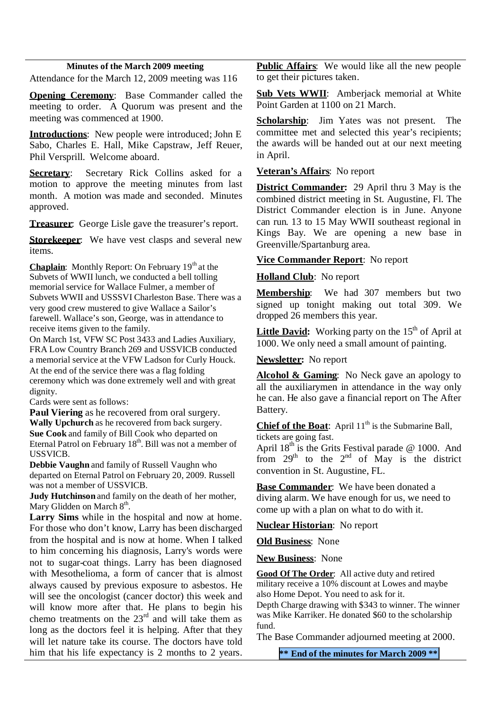#### **Minutes of the March 2009 meeting**

Attendance for the March 12, 2009 meeting was 116

**Opening Ceremony**: Base Commander called the meeting to order. A Quorum was present and the meeting was commenced at 1900.

**Introductions**: New people were introduced; John E Sabo, Charles E. Hall, Mike Capstraw, Jeff Reuer, Phil Versprill. Welcome aboard.

**Secretary:** Secretary Rick Collins asked for a motion to approve the meeting minutes from last month. A motion was made and seconded. Minutes approved.

**Treasurer**: George Lisle gave the treasurer's report.

**Storekeeper**: We have vest clasps and several new items.

**Chaplain:** Monthly Report: On February 19<sup>th</sup> at the Subvets of WWII lunch, we conducted a bell tolling memorial service for Wallace Fulmer, a member of Subvets WWII and USSSVI Charleston Base. There was a very good crew mustered to give Wallace a Sailor's farewell. Wallace's son, George, was in attendance to receive items given to the family.

On March 1st, VFW SC Post 3433 and Ladies Auxiliary, FRA Low Country Branch 269 and USSVICB conducted a memorial service at the VFW Ladson for Curly Houck. At the end of the service there was a flag folding ceremony which was done extremely well and with great dignity.

Cards were sent as follows:

**Paul Viering** as he recovered from oral surgery. **Wally Upchurch** as he recovered from back surgery. **Sue Cook** and family of Bill Cook who departed on Eternal Patrol on February  $18<sup>th</sup>$ . Bill was not a member of USSVICB.

**Debbie Vaughn** and family of Russell Vaughn who departed on Eternal Patrol on February 20, 2009. Russell was not a member of USSVICB.

**Judy Hutchinson** and family on the death of her mother, Mary Glidden on March  $8^{\text{th}}$ .

**Larry Sims** while in the hospital and now at home. For those who don't know, Larry has been discharged from the hospital and is now at home. When I talked to him concerning his diagnosis, Larry's words were not to sugar-coat things. Larry has been diagnosed with Mesothelioma, a form of cancer that is almost always caused by previous exposure to asbestos. He will see the oncologist (cancer doctor) this week and will know more after that. He plans to begin his chemo treatments on the  $23<sup>rd</sup>$  and will take them as long as the doctors feel it is helping. After that they will let nature take its course. The doctors have told him that his life expectancy is 2 months to 2 years.

**Public Affairs**: We would like all the new people to get their pictures taken.

Sub Vets WWII: Amberjack memorial at White Point Garden at 1100 on 21 March.

**Scholarship**: Jim Yates was not present. The committee met and selected this year's recipients; the awards will be handed out at our next meeting in April.

**Veteran's Affairs**: No report

**District Commander:** 29 April thru 3 May is the combined district meeting in St. Augustine, Fl. The District Commander election is in June. Anyone can run. 13 to 15 May WWII southeast regional in Kings Bay. We are opening a new base in Greenville/Spartanburg area.

**Vice Commander Report**: No report

**Holland Club**: No report

**Membership**: We had 307 members but two signed up tonight making out total 309. We dropped 26 members this year.

**Little David:** Working party on the 15<sup>th</sup> of April at 1000. We only need a small amount of painting.

**Newsletter:** No report

**Alcohol & Gaming**: No Neck gave an apology to all the auxiliarymen in attendance in the way only he can. He also gave a financial report on The After Battery.

**Chief of the Boat:** April 11<sup>th</sup> is the Submarine Ball, tickets are going fast.

April  $18^{th}$  is the Grits Festival parade @ 1000. And from  $29<sup>th</sup>$  to the  $2<sup>nd</sup>$  of May is the district convention in St. Augustine, FL.

**Base Commander**: We have been donated a diving alarm. We have enough for us, we need to come up with a plan on what to do with it.

**Nuclear Historian**: No report

**Old Business**: None

**New Business**: None

**Good Of The Order**: All active duty and retired military receive a 10% discount at Lowes and maybe also Home Depot. You need to ask for it.

Depth Charge drawing with \$343 to winner. The winner was Mike Karriker. He donated \$60 to the scholarship fund.

The Base Commander adjourned meeting at 2000.

**\*\* End of the minutes for March 2009 \*\***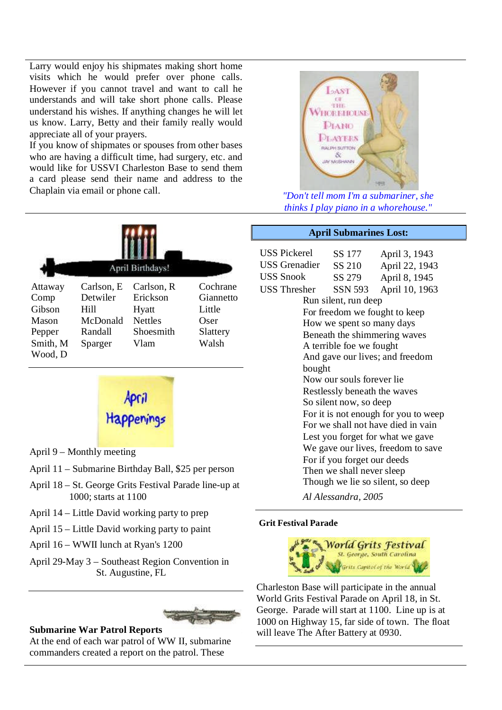Larry would enjoy his shipmates making short home visits which he would prefer over phone calls. However if you cannot travel and want to call he understands and will take short phone calls. Please understand his wishes. If anything changes he will let us know. Larry, Betty and their family really would appreciate all of your prayers.

If you know of shipmates or spouses from other bases who are having a difficult time, had surgery, etc. and would like for USSVI Charleston Base to send them a card please send their name and address to the Chaplain via email or phone call. *"Don't tell mom I'm a submariner, she*



*thinks I play piano in a whorehouse."*

## **April Submarines Lost:**

| <b>USS Pickerel</b>                  | SS 177              | April 3, 1943  |  |  |
|--------------------------------------|---------------------|----------------|--|--|
| USS Grenadier SS 210                 |                     | April 22, 1943 |  |  |
| <b>USS Snook</b>                     | SS 279              | April 8, 1945  |  |  |
| <b>USS Thresher</b>                  | SSN 593             | April 10, 1963 |  |  |
| Run silent, run deep                 |                     |                |  |  |
| For freedom we fought to keep        |                     |                |  |  |
| How we spent so many days            |                     |                |  |  |
| Beneath the shimmering waves         |                     |                |  |  |
| A terrible foe we fought             |                     |                |  |  |
| And gave our lives; and freedom      |                     |                |  |  |
| bought                               |                     |                |  |  |
| Now our souls forever lie            |                     |                |  |  |
| Restlessly beneath the waves         |                     |                |  |  |
| So silent now, so deep               |                     |                |  |  |
| For it is not enough for you to weep |                     |                |  |  |
| For we shall not have died in vain   |                     |                |  |  |
| Lest you forget for what we gave     |                     |                |  |  |
| We gave our lives, freedom to save   |                     |                |  |  |
| For if you forget our deeds          |                     |                |  |  |
| Then we shall never sleep            |                     |                |  |  |
| Though we lie so silent, so deep     |                     |                |  |  |
|                                      | Al Alessandra, 2005 |                |  |  |

#### **Grit Festival Parade**



Charleston Base will participate in the annual World Grits Festival Parade on April 18, in St. George. Parade will start at 1100. Line up is at 1000 on Highway 15, far side of town. The float will leave The After Battery at 0930.

# April Birthdays! Attaway Carlson, E Carlson, R Cochrane Comp Detwiler Erickson Giannetto Gibson Hill Hyatt Little Mason McDonald Nettles Oser Pepper Randall Shoesmith Slattery Smith, M Sparger Vlam Walsh Wood, D



- April 9 Monthly meeting
- April 11 Submarine Birthday Ball, \$25 per person
- April 18 St. George Grits Festival Parade line-up at 1000; starts at 1100
- April 14 Little David working party to prep
- April 15 Little David working party to paint
- April 16 WWII lunch at Ryan's 1200

April 29-May 3 – Southeast Region Convention in St. Augustine, FL



#### **Submarine War Patrol Reports**

At the end of each war patrol of WW II, submarine commanders created a report on the patrol. These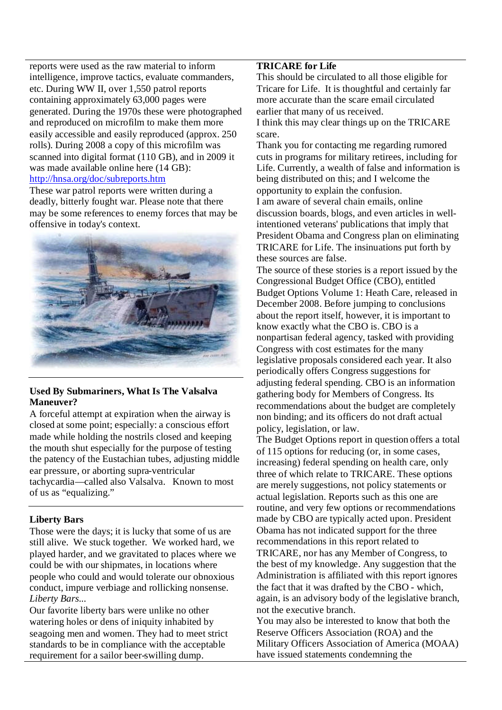reports were used as the raw material to inform intelligence, improve tactics, evaluate commanders, etc. During WW II, over 1,550 patrol reports containing approximately 63,000 pages were generated. During the 1970s these were photographed and reproduced on microfilm to make them more easily accessible and easily reproduced (approx. 250 rolls). During 2008 a copy of this microfilm was scanned into digital format (110 GB), and in 2009 it was made available online here (14 GB): http://hnsa.org/doc/subreports.htm

These war patrol reports were written during a deadly, bitterly fought war. Please note that there may be some references to enemy forces that may be offensive in today's context.



# **Used By Submariners, What Is The Valsalva Maneuver?**

A forceful attempt at expiration when the airway is closed at some point; especially: a conscious effort made while holding the nostrils closed and keeping the mouth shut especially for the purpose of testing the patency of the Eustachian tubes, adjusting middle ear pressure, or aborting supra-ventricular tachycardia—called also Valsalva. Known to most of us as "equalizing."

# **Liberty Bars**

Those were the days; it is lucky that some of us are still alive. We stuck together. We worked hard, we played harder, and we gravitated to places where we could be with our shipmates, in locations where people who could and would tolerate our obnoxious conduct, impure verbiage and rollicking nonsense. *Liberty Bars...*

Our favorite liberty bars were unlike no other watering holes or dens of iniquity inhabited by seagoing men and women. They had to meet strict standards to be in compliance with the acceptable requirement for a sailor beer-swilling dump.

# **TRICARE for Life**

This should be circulated to all those eligible for Tricare for Life. It is thoughtful and certainly far more accurate than the scare email circulated earlier that many of us received.

I think this may clear things up on the TRICARE scare.

Thank you for contacting me regarding rumored cuts in programs for military retirees, including for Life. Currently, a wealth of false and information is being distributed on this; and I welcome the opportunity to explain the confusion. I am aware of several chain emails, online discussion boards, blogs, and even articles in wellintentioned veterans' publications that imply that President Obama and Congress plan on eliminating TRICARE for Life. The insinuations put forth by these sources are false.

The source of these stories is a report issued by the Congressional Budget Office (CBO), entitled Budget Options Volume 1: Heath Care, released in December 2008. Before jumping to conclusions about the report itself, however, it is important to know exactly what the CBO is. CBO is a nonpartisan federal agency, tasked with providing Congress with cost estimates for the many legislative proposals considered each year. It also periodically offers Congress suggestions for adjusting federal spending. CBO is an information gathering body for Members of Congress. Its recommendations about the budget are completely non binding; and its officers do not draft actual policy, legislation, or law.

The Budget Options report in question offers a total of 115 options for reducing (or, in some cases, increasing) federal spending on health care, only three of which relate to TRICARE. These options are merely suggestions, not policy statements or actual legislation. Reports such as this one are routine, and very few options or recommendations made by CBO are typically acted upon. President Obama has not indicated support for the three recommendations in this report related to TRICARE, nor has any Member of Congress, to the best of my knowledge. Any suggestion that the Administration is affiliated with this report ignores the fact that it was drafted by the CBO - which, again, is an advisory body of the legislative branch, not the executive branch.

You may also be interested to know that both the Reserve Officers Association (ROA) and the Military Officers Association of America (MOAA) have issued statements condemning the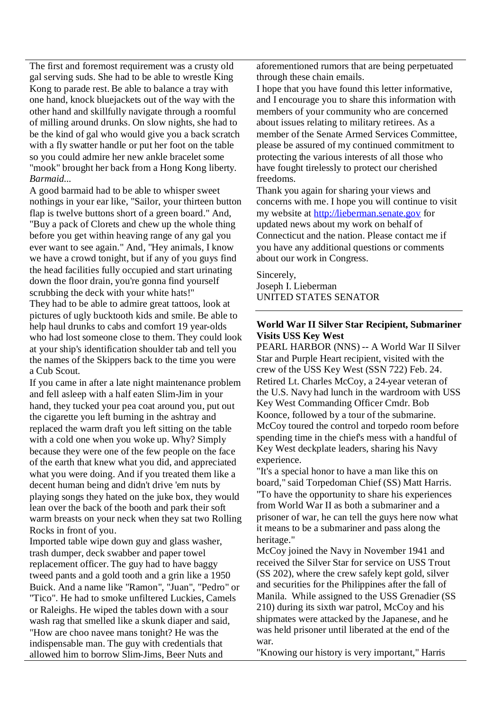The first and foremost requirement was a crusty old gal serving suds. She had to be able to wrestle King Kong to parade rest. Be able to balance a tray with one hand, knock bluejackets out of the way with the other hand and skillfully navigate through a roomful of milling around drunks. On slow nights, she had to be the kind of gal who would give you a back scratch with a fly swatter handle or put her foot on the table so you could admire her new ankle bracelet some "mook" brought her back from a Hong Kong liberty. *Barmaid...*

A good barmaid had to be able to whisper sweet nothings in your ear like, "Sailor, your thirteen button flap is twelve buttons short of a green board." And, "Buy a pack of Clorets and chew up the whole thing before you get within heaving range of any gal you ever want to see again." And, "Hey animals, I know we have a crowd tonight, but if any of you guys find the head facilities fully occupied and start urinating down the floor drain, you're gonna find yourself scrubbing the deck with your white hats!" They had to be able to admire great tattoos, look at pictures of ugly bucktooth kids and smile. Be able to help haul drunks to cabs and comfort 19 year-olds who had lost someone close to them. They could look at your ship's identification shoulder tab and tell you the names of the Skippers back to the time you were a Cub Scout.

If you came in after a late night maintenance problem and fell asleep with a half eaten Slim-Jim in your hand, they tucked your pea coat around you, put out the cigarette you left burning in the ashtray and replaced the warm draft you left sitting on the table with a cold one when you woke up. Why? Simply because they were one of the few people on the face of the earth that knew what you did, and appreciated what you were doing. And if you treated them like a decent human being and didn't drive 'em nuts by playing songs they hated on the juke box, they would lean over the back of the booth and park their soft warm breasts on your neck when they sat two Rolling Rocks in front of you.

Imported table wipe down guy and glass washer, trash dumper, deck swabber and paper towel replacement officer. The guy had to have baggy tweed pants and a gold tooth and a grin like a 1950 Buick. And a name like "Ramon", "Juan", "Pedro" or "Tico". He had to smoke unfiltered Luckies, Camels or Raleighs. He wiped the tables down with a sour wash rag that smelled like a skunk diaper and said, "How are choo navee mans tonight? He was the indispensable man. The guy with credentials that allowed him to borrow Slim-Jims, Beer Nuts and

aforementioned rumors that are being perpetuated through these chain emails.

I hope that you have found this letter informative, and I encourage you to share this information with members of your community who are concerned about issues relating to military retirees. As a member of the Senate Armed Services Committee, please be assured of my continued commitment to protecting the various interests of all those who have fought tirelessly to protect our cherished freedoms.

Thank you again for sharing your views and concerns with me. I hope you will continue to visit my website at http://lieberman.senate.gov for updated news about my work on behalf of Connecticut and the nation. Please contact me if you have any additional questions or comments about our work in Congress.

Sincerely, Joseph I. Lieberman UNITED STATES SENATOR

#### **World War II Silver Star Recipient, Submariner Visits USS Key West**

PEARL HARBOR (NNS) -- A World War II Silver Star and Purple Heart recipient, visited with the crew of the USS Key West (SSN 722) Feb. 24. Retired Lt. Charles McCoy, a 24-year veteran of the U.S. Navy had lunch in the wardroom with USS Key West Commanding Officer Cmdr. Bob Koonce, followed by a tour of the submarine. McCoy toured the control and torpedo room before spending time in the chief's mess with a handful of Key West deckplate leaders, sharing his Navy experience.

"It's a special honor to have a man like this on board," said Torpedoman Chief (SS) Matt Harris. "To have the opportunity to share his experiences from World War II as both a submariner and a prisoner of war, he can tell the guys here now what it means to be a submariner and pass along the heritage."

McCoy joined the Navy in November 1941 and received the Silver Star for service on USS Trout (SS 202), where the crew safely kept gold, silver and securities for the Philippines after the fall of Manila. While assigned to the USS Grenadier (SS 210) during its sixth war patrol, McCoy and his shipmates were attacked by the Japanese, and he was held prisoner until liberated at the end of the war.

"Knowing our history is very important," Harris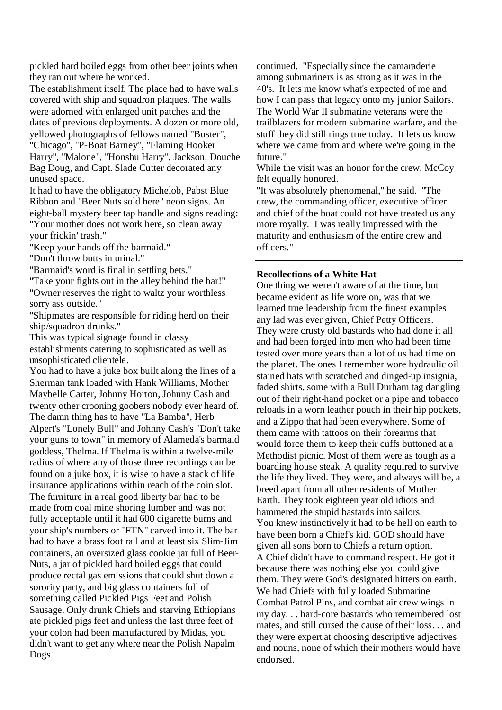pickled hard boiled eggs from other beer joints when they ran out where he worked.

The establishment itself. The place had to have walls covered with ship and squadron plaques. The walls were adorned with enlarged unit patches and the dates of previous deployments. A dozen or more old, yellowed photographs of fellows named "Buster", "Chicago", "P-Boat Barney", "Flaming Hooker Harry", "Malone", "Honshu Harry", Jackson, Douche Bag Doug, and Capt. Slade Cutter decorated any unused space.

It had to have the obligatory Michelob, Pabst Blue Ribbon and "Beer Nuts sold here" neon signs. An eight-ball mystery beer tap handle and signs reading: "Your mother does not work here, so clean away your frickin' trash."

"Keep your hands off the barmaid."

"Don't throw butts in urinal."

"Barmaid's word is final in settling bets."

"Take your fights out in the alley behind the bar!" "Owner reserves the right to waltz your worthless sorry ass outside."

"Shipmates are responsible for riding herd on their ship/squadron drunks."

This was typical signage found in classy

establishments catering to sophisticated as well as unsophisticated clientele.

You had to have a juke box built along the lines of a Sherman tank loaded with Hank Williams, Mother Maybelle Carter, Johnny Horton, Johnny Cash and twenty other crooning goobers nobody ever heard of. The damn thing has to have "La Bamba", Herb Alpert's "Lonely Bull" and Johnny Cash's "Don't take your guns to town" in memory of Alameda's barmaid goddess, Thelma. If Thelma is within a twelve-mile radius of where any of those three recordings can be found on a juke box, it is wise to have a stack of life insurance applications within reach of the coin slot. The furniture in a real good liberty bar had to be made from coal mine shoring lumber and was not fully acceptable until it had 600 cigarette burns and your ship's numbers or "FTN" carved into it. The bar had to have a brass foot rail and at least six Slim-Jim containers, an oversized glass cookie jar full of Beer-Nuts, a jar of pickled hard boiled eggs that could produce rectal gas emissions that could shut down a sorority party, and big glass containers full of something called Pickled Pigs Feet and Polish Sausage. Only drunk Chiefs and starving Ethiopians ate pickled pigs feet and unless the last three feet of your colon had been manufactured by Midas, you didn't want to get any where near the Polish Napalm Dogs.

continued. "Especially since the camaraderie among submariners is as strong as it was in the 40's. It lets me know what's expected of me and how I can pass that legacy onto my junior Sailors. The World War II submarine veterans were the trailblazers for modern submarine warfare, and the stuff they did still rings true today. It lets us know where we came from and where we're going in the future."

While the visit was an honor for the crew, McCoy felt equally honored.

"It was absolutely phenomenal," he said. "The crew, the commanding officer, executive officer and chief of the boat could not have treated us any more royally. I was really impressed with the maturity and enthusiasm of the entire crew and officers."

## **Recollections of a White Hat**

One thing we weren't aware of at the time, but became evident as life wore on, was that we learned true leadership from the finest examples any lad was ever given, Chief Petty Officers. They were crusty old bastards who had done it all and had been forged into men who had been time tested over more years than a lot of us had time on the planet. The ones I remember wore hydraulic oil stained hats with scratched and dinged-up insignia, faded shirts, some with a Bull Durham tag dangling out of their right-hand pocket or a pipe and tobacco reloads in a worn leather pouch in their hip pockets, and a Zippo that had been everywhere. Some of them came with tattoos on their forearms that would force them to keep their cuffs buttoned at a Methodist picnic. Most of them were as tough as a boarding house steak. A quality required to survive the life they lived. They were, and always will be, a breed apart from all other residents of Mother Earth. They took eighteen year old idiots and hammered the stupid bastards into sailors. You knew instinctively it had to be hell on earth to have been born a Chief's kid. GOD should have given all sons born to Chiefs a return option. A Chief didn't have to command respect. He got it because there was nothing else you could give them. They were God's designated hitters on earth. We had Chiefs with fully loaded Submarine Combat Patrol Pins, and combat air crew wings in my day. . . hard-core bastards who remembered lost mates, and still cursed the cause of their loss. . . and they were expert at choosing descriptive adjectives and nouns, none of which their mothers would have endorsed.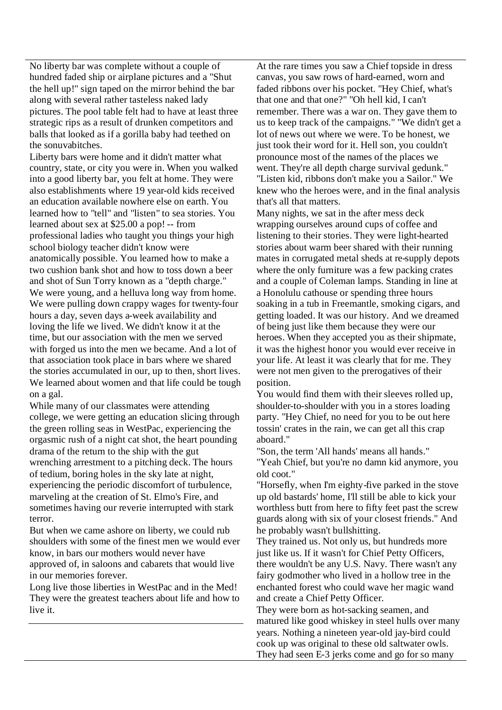No liberty bar was complete without a couple of hundred faded ship or airplane pictures and a "Shut the hell up!" sign taped on the mirror behind the bar along with several rather tasteless naked lady pictures. The pool table felt had to have at least three strategic rips as a result of drunken competitors and balls that looked as if a gorilla baby had teethed on the sonuvabitches.

Liberty bars were home and it didn't matter what country, state, or city you were in. When you walked into a good liberty bar, you felt at home. They were also establishments where 19 year-old kids received an education available nowhere else on earth. You learned how to "tell" and "listen" to sea stories. You learned about sex at \$25.00 a pop! -- from professional ladies who taught you things your high school biology teacher didn't know were anatomically possible. You learned how to make a two cushion bank shot and how to toss down a beer and shot of Sun Torry known as a "depth charge." We were young, and a helluva long way from home. We were pulling down crappy wages for twenty-four hours a day, seven days a-week availability and loving the life we lived. We didn't know it at the time, but our association with the men we served with forged us into the men we became. And a lot of that association took place in bars where we shared the stories accumulated in our, up to then, short lives. We learned about women and that life could be tough on a gal.

While many of our classmates were attending college, we were getting an education slicing through the green rolling seas in WestPac, experiencing the orgasmic rush of a night cat shot, the heart pounding drama of the return to the ship with the gut wrenching arrestment to a pitching deck. The hours of tedium, boring holes in the sky late at night, experiencing the periodic discomfort of turbulence, marveling at the creation of St. Elmo's Fire, and sometimes having our reverie interrupted with stark terror.

But when we came ashore on liberty, we could rub shoulders with some of the finest men we would ever know, in bars our mothers would never have approved of, in saloons and cabarets that would live in our memories forever.

Long live those liberties in WestPac and in the Med! They were the greatest teachers about life and how to live it.

At the rare times you saw a Chief topside in dress canvas, you saw rows of hard-earned, worn and faded ribbons over his pocket. "Hey Chief, what's that one and that one?" "Oh hell kid, I can't remember. There was a war on. They gave them to us to keep track of the campaigns." "We didn't get a lot of news out where we were. To be honest, we just took their word for it. Hell son, you couldn't pronounce most of the names of the places we went. They're all depth charge survival gedunk." "Listen kid, ribbons don't make you a Sailor." We knew who the heroes were, and in the final analysis that's all that matters.

Many nights, we sat in the after mess deck wrapping ourselves around cups of coffee and listening to their stories. They were light-hearted stories about warm beer shared with their running mates in corrugated metal sheds at re-supply depots where the only furniture was a few packing crates and a couple of Coleman lamps. Standing in line at a Honolulu cathouse or spending three hours soaking in a tub in Freemantle, smoking cigars, and getting loaded. It was our history. And we dreamed of being just like them because they were our heroes. When they accepted you as their shipmate, it was the highest honor you would ever receive in your life. At least it was clearly that for me. They were not men given to the prerogatives of their position.

You would find them with their sleeves rolled up, shoulder-to-shoulder with you in a stores loading party. "Hey Chief, no need for you to be out here tossin' crates in the rain, we can get all this crap aboard."

"Son, the term 'All hands' means all hands."

"Yeah Chief, but you're no damn kid anymore, you old coot."

"Horsefly, when I'm eighty-five parked in the stove up old bastards' home, I'll still be able to kick your worthless butt from here to fifty feet past the screw guards along with six of your closest friends." And he probably wasn't bullshitting.

They trained us. Not only us, but hundreds more just like us. If it wasn't for Chief Petty Officers, there wouldn't be any U.S. Navy. There wasn't any fairy godmother who lived in a hollow tree in the enchanted forest who could wave her magic wand and create a Chief Petty Officer.

They were born as hot-sacking seamen, and matured like good whiskey in steel hulls over many years. Nothing a nineteen year-old jay-bird could cook up was original to these old saltwater owls. They had seen E-3 jerks come and go for so many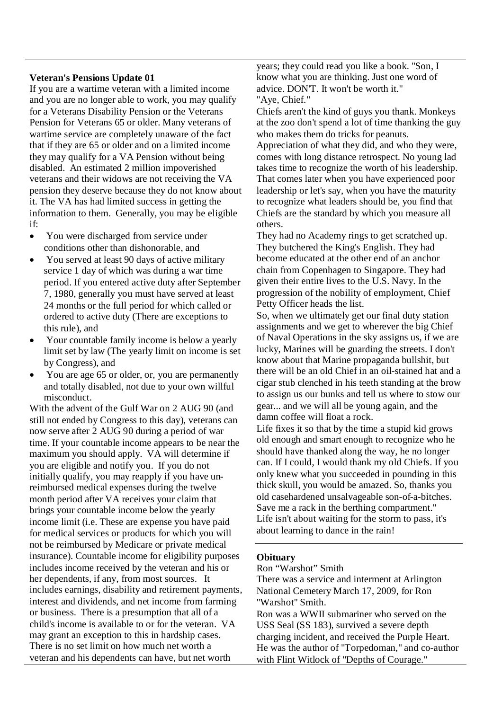#### **Veteran's Pensions Update 01**

If you are a wartime veteran with a limited income and you are no longer able to work, you may qualify for a Veterans Disability Pension or the Veterans Pension for Veterans 65 or older. Many veterans of wartime service are completely unaware of the fact that if they are 65 or older and on a limited income they may qualify for a VA Pension without being disabled. An estimated 2 million impoverished veterans and their widows are not receiving the VA pension they deserve because they do not know about it. The VA has had limited success in getting the information to them. Generally, you may be eligible if:

- You were discharged from service under conditions other than dishonorable, and
- You served at least 90 days of active military service 1 day of which was during a war time period. If you entered active duty after September 7, 1980, generally you must have served at least 24 months or the full period for which called or ordered to active duty (There are exceptions to this rule), and
- Your countable family income is below a yearly limit set by law (The yearly limit on income is set by Congress), and
- You are age 65 or older, or, you are permanently and totally disabled, not due to your own willful misconduct.

With the advent of the Gulf War on 2 AUG 90 (and still not ended by Congress to this day), veterans can now serve after 2 AUG 90 during a period of war time. If your countable income appears to be near the maximum you should apply. VA will determine if you are eligible and notify you. If you do not initially qualify, you may reapply if you have unreimbursed medical expenses during the twelve month period after VA receives your claim that brings your countable income below the yearly income limit (i.e. These are expense you have paid for medical services or products for which you will not be reimbursed by Medicare or private medical insurance). Countable income for eligibility purposes includes income received by the veteran and his or her dependents, if any, from most sources. It includes earnings, disability and retirement payments, interest and dividends, and net income from farming or business. There is a presumption that all of a child's income is available to or for the veteran. VA may grant an exception to this in hardship cases. There is no set limit on how much net worth a veteran and his dependents can have, but net worth

years; they could read you like a book. "Son, I know what you are thinking. Just one word of advice. DON'T. It won't be worth it." "Aye, Chief."

Chiefs aren't the kind of guys you thank. Monkeys at the zoo don't spend a lot of time thanking the guy who makes them do tricks for peanuts.

Appreciation of what they did, and who they were, comes with long distance retrospect. No young lad takes time to recognize the worth of his leadership. That comes later when you have experienced poor leadership or let's say, when you have the maturity to recognize what leaders should be, you find that Chiefs are the standard by which you measure all others.

They had no Academy rings to get scratched up. They butchered the King's English. They had become educated at the other end of an anchor chain from Copenhagen to Singapore. They had given their entire lives to the U.S. Navy. In the progression of the nobility of employment, Chief Petty Officer heads the list.

So, when we ultimately get our final duty station assignments and we get to wherever the big Chief of Naval Operations in the sky assigns us, if we are lucky, Marines will be guarding the streets. I don't know about that Marine propaganda bullshit, but there will be an old Chief in an oil-stained hat and a cigar stub clenched in his teeth standing at the brow to assign us our bunks and tell us where to stow our gear... and we will all be young again, and the damn coffee will float a rock.

Life fixes it so that by the time a stupid kid grows old enough and smart enough to recognize who he should have thanked along the way, he no longer can. If I could, I would thank my old Chiefs. If you only knew what you succeeded in pounding in this thick skull, you would be amazed. So, thanks you old casehardened unsalvageable son-of-a-bitches. Save me a rack in the berthing compartment." Life isn't about waiting for the storm to pass, it's about learning to dance in the rain!

#### **Obituary**

Ron "Warshot" Smith

There was a service and interment at Arlington National Cemetery March 17, 2009, for Ron "Warshot" Smith.

Ron was a WWII submariner who served on the USS Seal (SS 183), survived a severe depth charging incident, and received the Purple Heart. He was the author of "Torpedoman," and co-author with Flint Witlock of "Depths of Courage."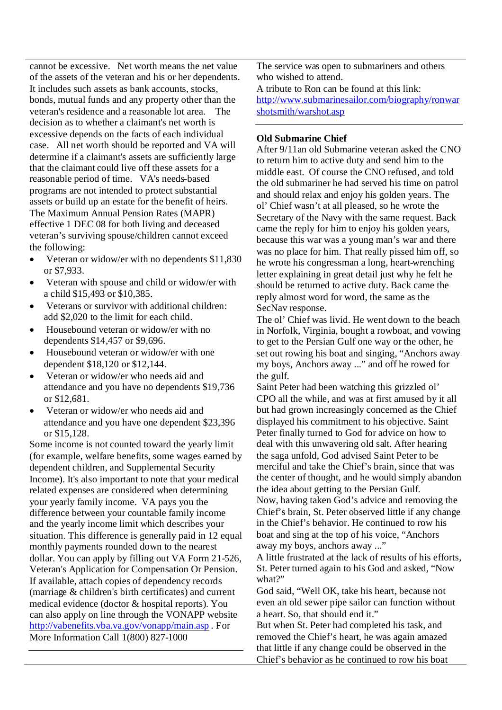cannot be excessive. Net worth means the net value of the assets of the veteran and his or her dependents. It includes such assets as bank accounts, stocks, bonds, mutual funds and any property other than the veteran's residence and a reasonable lot area. The decision as to whether a claimant's net worth is excessive depends on the facts of each individual case. All net worth should be reported and VA will determine if a claimant's assets are sufficiently large that the claimant could live off these assets for a reasonable period of time. VA's needs-based programs are not intended to protect substantial assets or build up an estate for the benefit of heirs. The Maximum Annual Pension Rates (MAPR) effective 1 DEC 08 for both living and deceased veteran's surviving spouse/children cannot exceed the following:

- Veteran or widow/er with no dependents \$11,830 or \$7,933.
- Veteran with spouse and child or widow/er with a child \$15,493 or \$10,385.
- Veterans or survivor with additional children: add \$2,020 to the limit for each child.
- Housebound veteran or widow/er with no dependents \$14,457 or \$9,696.
- Housebound veteran or widow/er with one dependent \$18,120 or \$12,144.
- Veteran or widow/er who needs aid and attendance and you have no dependents \$19,736 or \$12,681.
- Veteran or widow/er who needs aid and attendance and you have one dependent \$23,396 or \$15,128.

Some income is not counted toward the yearly limit (for example, welfare benefits, some wages earned by dependent children, and Supplemental Security Income). It's also important to note that your medical related expenses are considered when determining your yearly family income. VA pays you the difference between your countable family income and the yearly income limit which describes your situation. This difference is generally paid in 12 equal monthly payments rounded down to the nearest dollar. You can apply by filling out VA Form 21-526, Veteran's Application for Compensation Or Pension. If available, attach copies of dependency records (marriage & children's birth certificates) and current medical evidence (doctor & hospital reports). You can also apply on line through the VONAPP website http://vabenefits.vba.va.gov/vonapp/main.asp . For More Information Call 1(800) 827-1000

The service was open to submariners and others who wished to attend.

A tribute to Ron can be found at this link: http://www.submarinesailor.com/biography/ronwar shotsmith/warshot.asp

# **Old Submarine Chief**

After 9/11an old Submarine veteran asked the CNO to return him to active duty and send him to the middle east. Of course the CNO refused, and told the old submariner he had served his time on patrol and should relax and enjoy his golden years. The ol' Chief wasn't at all pleased, so he wrote the Secretary of the Navy with the same request. Back came the reply for him to enjoy his golden years, because this war was a young man's war and there was no place for him. That really pissed him off, so he wrote his congressman a long, heart-wrenching letter explaining in great detail just why he felt he should be returned to active duty. Back came the reply almost word for word, the same as the SecNav response.

The ol' Chief was livid. He went down to the beach in Norfolk, Virginia, bought a rowboat, and vowing to get to the Persian Gulf one way or the other, he set out rowing his boat and singing, "Anchors away my boys, Anchors away ..." and off he rowed for the gulf.

Saint Peter had been watching this grizzled ol' CPO all the while, and was at first amused by it all but had grown increasingly concerned as the Chief displayed his commitment to his objective. Saint Peter finally turned to God for advice on how to deal with this unwavering old salt. After hearing the saga unfold, God advised Saint Peter to be merciful and take the Chief's brain, since that was the center of thought, and he would simply abandon the idea about getting to the Persian Gulf. Now, having taken God's advice and removing the Chief's brain, St. Peter observed little if any change in the Chief's behavior. He continued to row his boat and sing at the top of his voice, "Anchors away my boys, anchors away ..."

A little frustrated at the lack of results of his efforts, St. Peter turned again to his God and asked, "Now what?"

God said, "Well OK, take his heart, because not even an old sewer pipe sailor can function without a heart. So, that should end it."

But when St. Peter had completed his task, and removed the Chief's heart, he was again amazed that little if any change could be observed in the Chief's behavior as he continued to row his boat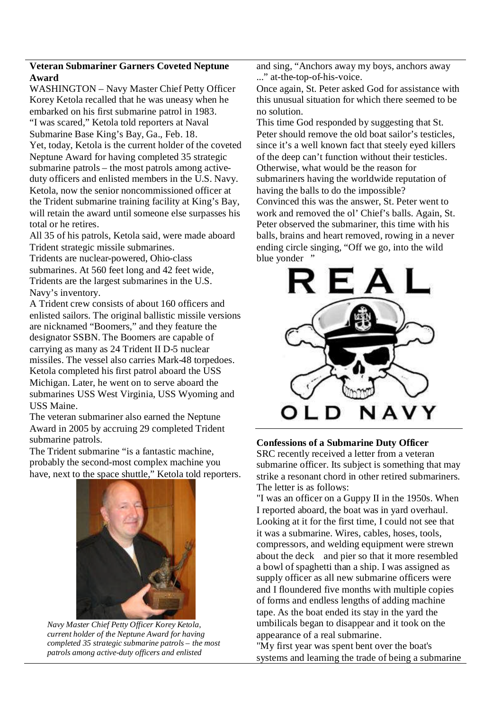# **Veteran Submariner Garners Coveted Neptune Award**

WASHINGTON – Navy Master Chief Petty Officer Korey Ketola recalled that he was uneasy when he embarked on his first submarine patrol in 1983. "I was scared," Ketola told reporters at Naval Submarine Base King's Bay, Ga., Feb. 18. Yet, today, Ketola is the current holder of the coveted Neptune Award for having completed 35 strategic submarine patrols – the most patrols among activeduty officers and enlisted members in the U.S. Navy. Ketola, now the senior noncommissioned officer at the Trident submarine training facility at King's Bay, will retain the award until someone else surpasses his total or he retires.

All 35 of his patrols, Ketola said, were made aboard Trident strategic missile submarines.

Tridents are nuclear-powered, Ohio-class submarines. At 560 feet long and 42 feet wide, Tridents are the largest submarines in the U.S. Navy's inventory.

A Trident crew consists of about 160 officers and enlisted sailors. The original ballistic missile versions are nicknamed "Boomers," and they feature the designator SSBN. The Boomers are capable of carrying as many as 24 Trident II D-5 nuclear missiles. The vessel also carries Mark-48 torpedoes. Ketola completed his first patrol aboard the USS Michigan. Later, he went on to serve aboard the submarines USS West Virginia, USS Wyoming and USS Maine.

The veteran submariner also earned the Neptune Award in 2005 by accruing 29 completed Trident submarine patrols.

The Trident submarine "is a fantastic machine, probably the second-most complex machine you have, next to the space shuttle," Ketola told reporters.



*Navy Master Chief Petty Officer Korey Ketola, current holder of the Neptune Award for having completed 35 strategic submarine patrols – the most patrols among active-duty officers and enlisted*

and sing, "Anchors away my boys, anchors away ..." at-the-top-of-his-voice.

Once again, St. Peter asked God for assistance with this unusual situation for which there seemed to be no solution.

This time God responded by suggesting that St. Peter should remove the old boat sailor's testicles, since it's a well known fact that steely eyed killers of the deep can't function without their testicles. Otherwise, what would be the reason for submariners having the worldwide reputation of having the balls to do the impossible? Convinced this was the answer, St. Peter went to work and removed the ol' Chief's balls. Again, St. Peter observed the submariner, this time with his balls, brains and heart removed, rowing in a never ending circle singing, "Off we go, into the wild blue yonder "



# **Confessions of a Submarine Duty Officer**

SRC recently received a letter from a veteran submarine officer. Its subject is something that may strike a resonant chord in other retired submariners. The letter is as follows:

"I was an officer on a Guppy II in the 1950s. When I reported aboard, the boat was in yard overhaul. Looking at it for the first time, I could not see that it was a submarine. Wires, cables, hoses, tools, compressors, and welding equipment were strewn about the deck and pier so that it more resembled a bowl of spaghetti than a ship. I was assigned as supply officer as all new submarine officers were and I floundered five months with multiple copies of forms and endless lengths of adding machine tape. As the boat ended its stay in the yard the umbilicals began to disappear and it took on the appearance of a real submarine.

"My first year was spent bent over the boat's systems and learning the trade of being a submarine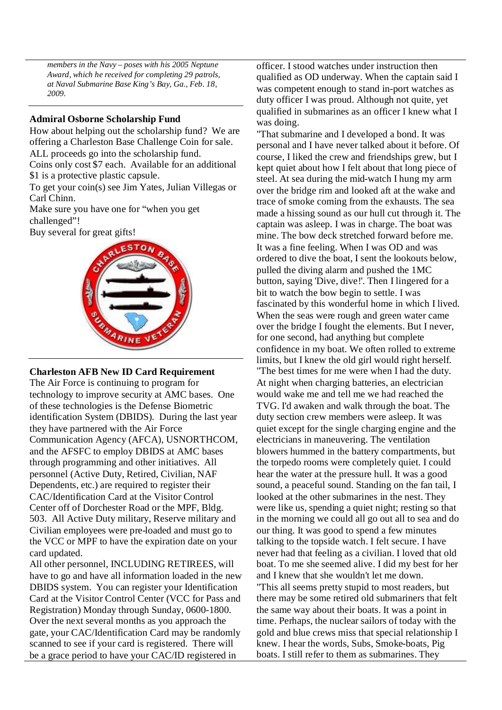*members in the Navy – poses with his 2005 Neptune Award, which he received for completing 29 patrols, at Naval Submarine Base King's Bay, Ga., Feb. 18, 2009.*

## **Admiral Osborne Scholarship Fund**

How about helping out the scholarship fund? We are offering a Charleston Base Challenge Coin for sale. ALL proceeds go into the scholarship fund. Coins only cost \$7 each. Available for an additional \$1 is a protective plastic capsule.

To get your coin(s) see Jim Yates, Julian Villegas or Carl Chinn.

Make sure you have one for "when you get challenged"!

Buy several for great gifts!



**Charleston AFB New ID Card Requirement**

The Air Force is continuing to program for technology to improve security at AMC bases. One of these technologies is the Defense Biometric identification System (DBIDS). During the last year they have partnered with the Air Force Communication Agency (AFCA), USNORTHCOM, and the AFSFC to employ DBIDS at AMC bases through programming and other initiatives. All personnel (Active Duty, Retired, Civilian, NAF Dependents, etc.) are required to register their CAC/Identification Card at the Visitor Control Center off of Dorchester Road or the MPF, Bldg. 503. All Active Duty military, Reserve military and Civilian employees were pre-loaded and must go to the VCC or MPF to have the expiration date on your card updated.

All other personnel, INCLUDING RETIREES, will have to go and have all information loaded in the new DBIDS system. You can register your Identification Card at the Visitor Control Center (VCC for Pass and Registration) Monday through Sunday, 0600-1800. Over the next several months as you approach the gate, your CAC/Identification Card may be randomly scanned to see if your card is registered. There will be a grace period to have your CAC/ID registered in

officer. I stood watches under instruction then qualified as OD underway. When the captain said I was competent enough to stand in-port watches as duty officer I was proud. Although not quite, yet qualified in submarines as an officer I knew what I was doing.

"That submarine and I developed a bond. It was personal and I have never talked about it before. Of course, I liked the crew and friendships grew, but I kept quiet about how I felt about that long piece of steel. At sea during the mid-watch I hung my arm over the bridge rim and looked aft at the wake and trace of smoke coming from the exhausts. The sea made a hissing sound as our hull cut through it. The captain was asleep. I was in charge. The boat was mine. The bow deck stretched forward before me. It was a fine feeling. When I was OD and was ordered to dive the boat, I sent the lookouts below, pulled the diving alarm and pushed the 1MC button, saying 'Dive, dive!'. Then I lingered for a bit to watch the bow begin to settle. I was fascinated by this wonderful home in which I lived. When the seas were rough and green water came over the bridge I fought the elements. But I never, for one second, had anything but complete confidence in my boat. We often rolled to extreme limits, but I knew the old girl would right herself. "The best times for me were when I had the duty. At night when charging batteries, an electrician would wake me and tell me we had reached the TVG. I'd awaken and walk through the boat. The duty section crew members were asleep. It was quiet except for the single charging engine and the electricians in maneuvering. The ventilation blowers hummed in the battery compartments, but the torpedo rooms were completely quiet. I could hear the water at the pressure hull. It was a good sound, a peaceful sound. Standing on the fan tail, I looked at the other submarines in the nest. They were like us, spending a quiet night; resting so that in the morning we could all go out all to sea and do our thing. It was good to spend a few minutes talking to the topside watch. I felt secure. I have never had that feeling as a civilian. I loved that old boat. To me she seemed alive. I did my best for her and I knew that she wouldn't let me down. "This all seems pretty stupid to most readers, but there may be some retired old submariners that felt the same way about their boats. It was a point in time. Perhaps, the nuclear sailors of today with the gold and blue crews miss that special relationship I knew. I hear the words, Subs, Smoke-boats, Pig boats. I still refer to them as submarines. They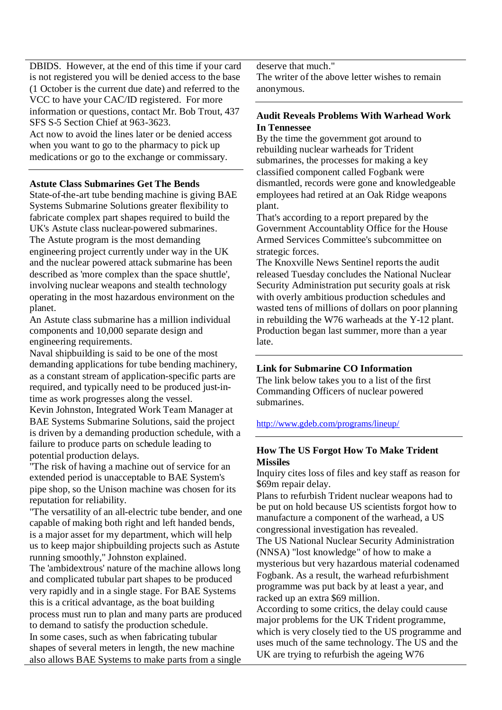DBIDS. However, at the end of this time if your card is not registered you will be denied access to the base (1 October is the current due date) and referred to the VCC to have your CAC/ID registered. For more information or questions, contact Mr. Bob Trout, 437 SFS S-5 Section Chief at 963-3623.

Act now to avoid the lines later or be denied access when you want to go to the pharmacy to pick up medications or go to the exchange or commissary.

#### **Astute Class Submarines Get The Bends**

State-of-the-art tube bending machine is giving BAE Systems Submarine Solutions greater flexibility to fabricate complex part shapes required to build the UK's Astute class nuclear-powered submarines. The Astute program is the most demanding engineering project currently under way in the UK and the nuclear powered attack submarine has been described as 'more complex than the space shuttle', involving nuclear weapons and stealth technology operating in the most hazardous environment on the planet.

An Astute class submarine has a million individual components and 10,000 separate design and engineering requirements.

Naval shipbuilding is said to be one of the most demanding applications for tube bending machinery, as a constant stream of application-specific parts are required, and typically need to be produced just-intime as work progresses along the vessel. Kevin Johnston, Integrated Work Team Manager at BAE Systems Submarine Solutions, said the project is driven by a demanding production schedule, with a failure to produce parts on schedule leading to potential production delays.

"The risk of having a machine out of service for an extended period is unacceptable to BAE System's pipe shop, so the Unison machine was chosen for its reputation for reliability.

"The versatility of an all-electric tube bender, and one capable of making both right and left handed bends, is a major asset for my department, which will help us to keep major shipbuilding projects such as Astute running smoothly," Johnston explained.

The 'ambidextrous' nature of the machine allows long and complicated tubular part shapes to be produced very rapidly and in a single stage. For BAE Systems this is a critical advantage, as the boat building process must run to plan and many parts are produced to demand to satisfy the production schedule. In some cases, such as when fabricating tubular shapes of several meters in length, the new machine also allows BAE Systems to make parts from a single

deserve that much." The writer of the above letter wishes to remain anonymous.

## **Audit Reveals Problems With Warhead Work In Tennessee**

By the time the government got around to rebuilding nuclear warheads for Trident submarines, the processes for making a key classified component called Fogbank were dismantled, records were gone and knowledgeable employees had retired at an Oak Ridge weapons plant.

That's according to a report prepared by the Government Accountablity Office for the House Armed Services Committee's subcommittee on strategic forces.

The Knoxville News Sentinel reports the audit released Tuesday concludes the National Nuclear Security Administration put security goals at risk with overly ambitious production schedules and wasted tens of millions of dollars on poor planning in rebuilding the W76 warheads at the Y-12 plant. Production began last summer, more than a year late.

#### **Link for Submarine CO Information**

The link below takes you to a list of the first Commanding Officers of nuclear powered submarines.

#### http://www.gdeb.com/programs/lineup/

## **How The US Forgot How To Make Trident Missiles**

Inquiry cites loss of files and key staff as reason for \$69m repair delay.

Plans to refurbish Trident nuclear weapons had to be put on hold because US scientists forgot how to manufacture a component of the warhead, a US congressional investigation has revealed. The US National Nuclear Security Administration (NNSA) "lost knowledge" of how to make a mysterious but very hazardous material codenamed Fogbank. As a result, the warhead refurbishment programme was put back by at least a year, and racked up an extra \$69 million.

According to some critics, the delay could cause major problems for the UK Trident programme, which is very closely tied to the US programme and uses much of the same technology. The US and the UK are trying to refurbish the ageing W76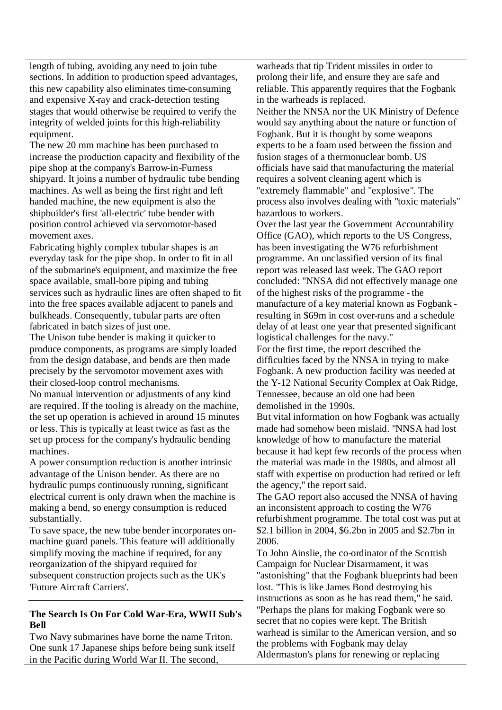length of tubing, avoiding any need to join tube sections. In addition to production speed advantages, this new capability also eliminates time-consuming and expensive X-ray and crack-detection testing stages that would otherwise be required to verify the integrity of welded joints for this high-reliability equipment.

The new 20 mm machine has been purchased to increase the production capacity and flexibility of the pipe shop at the company's Barrow-in-Furness shipyard. It joins a number of hydraulic tube bending machines. As well as being the first right and left handed machine, the new equipment is also the shipbuilder's first 'all-electric' tube bender with position control achieved via servomotor-based movement axes.

Fabricating highly complex tubular shapes is an everyday task for the pipe shop. In order to fit in all of the submarine's equipment, and maximize the free space available, small-bore piping and tubing services such as hydraulic lines are often shaped to fit into the free spaces available adjacent to panels and bulkheads. Consequently, tubular parts are often fabricated in batch sizes of just one.

The Unison tube bender is making it quicker to produce components, as programs are simply loaded from the design database, and bends are then made precisely by the servomotor movement axes with their closed-loop control mechanisms.

No manual intervention or adjustments of any kind are required. If the tooling is already on the machine, the set up operation is achieved in around 15 minutes or less. This is typically at least twice as fast as the set up process for the company's hydraulic bending machines.

A power consumption reduction is another intrinsic advantage of the Unison bender. As there are no hydraulic pumps continuously running, significant electrical current is only drawn when the machine is making a bend, so energy consumption is reduced substantially.

To save space, the new tube bender incorporates onmachine guard panels. This feature will additionally simplify moving the machine if required, for any reorganization of the shipyard required for subsequent construction projects such as the UK's 'Future Aircraft Carriers'.

## **The Search Is On For Cold War-Era, WWII Sub's Bell**

Two Navy submarines have borne the name Triton. One sunk 17 Japanese ships before being sunk itself in the Pacific during World War II. The second,

warheads that tip Trident missiles in order to prolong their life, and ensure they are safe and reliable. This apparently requires that the Fogbank in the warheads is replaced. Neither the NNSA nor the UK Ministry of Defence would say anything about the nature or function of Fogbank. But it is thought by some weapons experts to be a foam used between the fission and fusion stages of a thermonuclear bomb. US officials have said that manufacturing the material requires a solvent cleaning agent which is "extremely flammable" and "explosive". The process also involves dealing with "toxic materials" hazardous to workers.

Over the last year the Government Accountability Office (GAO), which reports to the US Congress, has been investigating the W76 refurbishment programme. An unclassified version of its final report was released last week. The GAO report concluded: "NNSA did not effectively manage one of the highest risks of the programme - the manufacture of a key material known as Fogbank resulting in \$69m in cost over-runs and a schedule delay of at least one year that presented significant logistical challenges for the navy."

For the first time, the report described the difficulties faced by the NNSA in trying to make Fogbank. A new production facility was needed at the Y-12 National Security Complex at Oak Ridge, Tennessee, because an old one had been demolished in the 1990s.

But vital information on how Fogbank was actually made had somehow been mislaid. "NNSA had lost knowledge of how to manufacture the material because it had kept few records of the process when the material was made in the 1980s, and almost all staff with expertise on production had retired or left the agency," the report said.

The GAO report also accused the NNSA of having an inconsistent approach to costing the W76 refurbishment programme. The total cost was put at \$2.1 billion in 2004, \$6.2bn in 2005 and \$2.7bn in 2006.

To John Ainslie, the co-ordinator of the Scottish Campaign for Nuclear Disarmament, it was "astonishing" that the Fogbank blueprints had been lost. "This is like James Bond destroying his instructions as soon as he has read them," he said. "Perhaps the plans for making Fogbank were so secret that no copies were kept. The British

warhead is similar to the American version, and so the problems with Fogbank may delay Aldermaston's plans for renewing or replacing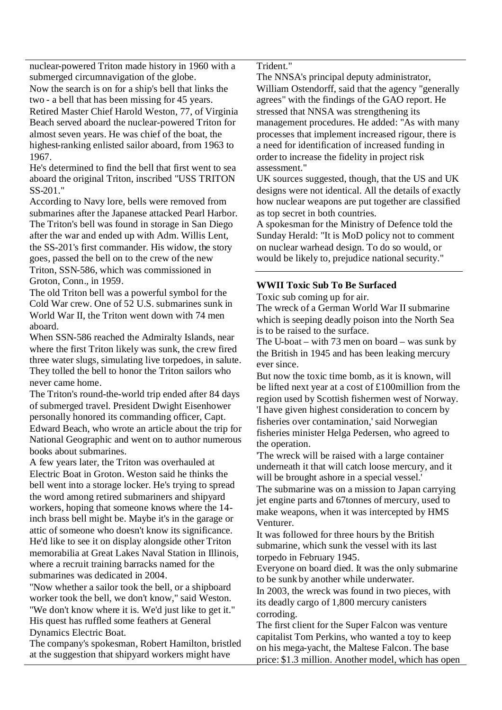nuclear-powered Triton made history in 1960 with a submerged circumnavigation of the globe. Now the search is on for a ship's bell that links the two - a bell that has been missing for 45 years. Retired Master Chief Harold Weston, 77, of Virginia Beach served aboard the nuclear-powered Triton for almost seven years. He was chief of the boat, the highest-ranking enlisted sailor aboard, from 1963 to 1967.

He's determined to find the bell that first went to sea aboard the original Triton, inscribed "USS TRITON SS-201."

According to Navy lore, bells were removed from submarines after the Japanese attacked Pearl Harbor. The Triton's bell was found in storage in San Diego after the war and ended up with Adm. Willis Lent, the SS-201's first commander. His widow, the story goes, passed the bell on to the crew of the new Triton, SSN-586, which was commissioned in Groton, Conn., in 1959.

The old Triton bell was a powerful symbol for the Cold War crew. One of 52 U.S. submarines sunk in World War II, the Triton went down with 74 men aboard.

When SSN-586 reached the Admiralty Islands, near where the first Triton likely was sunk, the crew fired three water slugs, simulating live torpedoes, in salute. They tolled the bell to honor the Triton sailors who never came home.

The Triton's round-the-world trip ended after 84 days of submerged travel. President Dwight Eisenhower personally honored its commanding officer, Capt. Edward Beach, who wrote an article about the trip for National Geographic and went on to author numerous books about submarines.

A few years later, the Triton was overhauled at Electric Boat in Groton. Weston said he thinks the bell went into a storage locker. He's trying to spread the word among retired submariners and shipyard workers, hoping that someone knows where the 14 inch brass bell might be. Maybe it's in the garage or attic of someone who doesn't know its significance. He'd like to see it on display alongside other Triton memorabilia at Great Lakes Naval Station in Illinois, where a recruit training barracks named for the submarines was dedicated in 2004.

"Now whether a sailor took the bell, or a shipboard worker took the bell, we don't know," said Weston. "We don't know where it is. We'd just like to get it." His quest has ruffled some feathers at General Dynamics Electric Boat.

The company's spokesman, Robert Hamilton, bristled at the suggestion that shipyard workers might have

Trident."

The NNSA's principal deputy administrator, William Ostendorff, said that the agency "generally agrees" with the findings of the GAO report. He stressed that NNSA was strengthening its management procedures. He added: "As with many processes that implement increased rigour, there is a need for identification of increased funding in order to increase the fidelity in project risk assessment."

UK sources suggested, though, that the US and UK designs were not identical. All the details of exactly how nuclear weapons are put together are classified as top secret in both countries.

A spokesman for the Ministry of Defence told the Sunday Herald: "It is MoD policy not to comment on nuclear warhead design. To do so would, or would be likely to, prejudice national security."

# **WWII Toxic Sub To Be Surfaced**

Toxic sub coming up for air.

The wreck of a German World War II submarine which is seeping deadly poison into the North Sea is to be raised to the surface.

The U-boat – with 73 men on board – was sunk by the British in 1945 and has been leaking mercury ever since.

But now the toxic time bomb, as it is known, will be lifted next year at a cost of £100million from the region used by Scottish fishermen west of Norway. 'I have given highest consideration to concern by fisheries over contamination,' said Norwegian fisheries minister Helga Pedersen, who agreed to the operation.

'The wreck will be raised with a large container underneath it that will catch loose mercury, and it will be brought ashore in a special vessel.'

The submarine was on a mission to Japan carrying jet engine parts and 67tonnes of mercury, used to make weapons, when it was intercepted by HMS Venturer.

It was followed for three hours by the British submarine, which sunk the vessel with its last torpedo in February 1945.

Everyone on board died. It was the only submarine to be sunk by another while underwater.

In 2003, the wreck was found in two pieces, with its deadly cargo of 1,800 mercury canisters corroding.

The first client for the Super Falcon was venture capitalist Tom Perkins, who wanted a toy to keep on his mega-yacht, the Maltese Falcon. The base price: \$1.3 million. Another model, which has open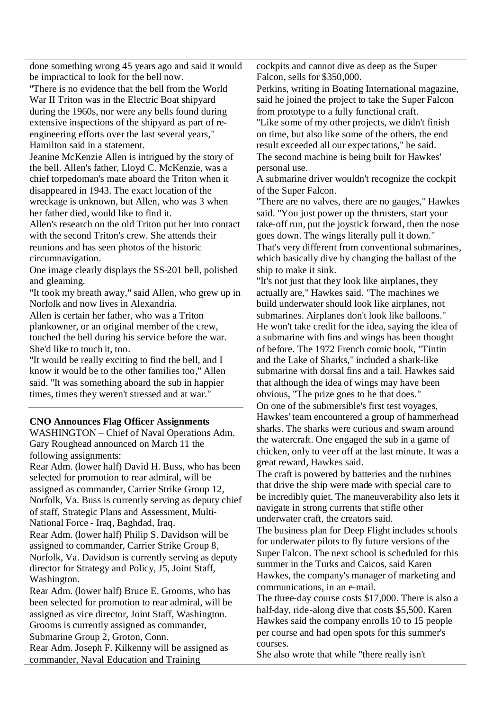done something wrong 45 years ago and said it would be impractical to look for the bell now.

"There is no evidence that the bell from the World War II Triton was in the Electric Boat shipyard during the 1960s, nor were any bells found during extensive inspections of the shipyard as part of reengineering efforts over the last several years," Hamilton said in a statement.

Jeanine McKenzie Allen is intrigued by the story of the bell. Allen's father, Lloyd C. McKenzie, was a chief torpedoman's mate aboard the Triton when it disappeared in 1943. The exact location of the wreckage is unknown, but Allen, who was 3 when her father died, would like to find it.

Allen's research on the old Triton put her into contact with the second Triton's crew. She attends their reunions and has seen photos of the historic circumnavigation.

One image clearly displays the SS-201 bell, polished and gleaming.

"It took my breath away," said Allen, who grew up in Norfolk and now lives in Alexandria.

Allen is certain her father, who was a Triton plankowner, or an original member of the crew, touched the bell during his service before the war. She'd like to touch it, too.

"It would be really exciting to find the bell, and I know it would be to the other families too," Allen said. "It was something aboard the sub in happier times, times they weren't stressed and at war."

## **CNO Announces Flag Officer Assignments**

WASHINGTON – Chief of Naval Operations Adm. Gary Roughead announced on March 11 the following assignments:

Rear Adm. (lower half) David H. Buss, who has been selected for promotion to rear admiral, will be assigned as commander, Carrier Strike Group 12, Norfolk, Va. Buss is currently serving as deputy chief of staff, Strategic Plans and Assessment, Multi-National Force - Iraq, Baghdad, Iraq.

Rear Adm. (lower half) Philip S. Davidson will be assigned to commander, Carrier Strike Group 8, Norfolk, Va. Davidson is currently serving as deputy director for Strategy and Policy, J5, Joint Staff, Washington.

Rear Adm. (lower half) Bruce E. Grooms, who has been selected for promotion to rear admiral, will be assigned as vice director, Joint Staff, Washington. Grooms is currently assigned as commander, Submarine Group 2, Groton, Conn. Rear Adm. Joseph F. Kilkenny will be assigned as commander, Naval Education and Training

cockpits and cannot dive as deep as the Super Falcon, sells for \$350,000.

Perkins, writing in Boating International magazine, said he joined the project to take the Super Falcon from prototype to a fully functional craft.

"Like some of my other projects, we didn't finish on time, but also like some of the others, the end result exceeded all our expectations," he said. The second machine is being built for Hawkes' personal use.

A submarine driver wouldn't recognize the cockpit of the Super Falcon.

"There are no valves, there are no gauges," Hawkes said. "You just power up the thrusters, start your take-off run, put the joystick forward, then the nose goes down. The wings literally pull it down." That's very different from conventional submarines, which basically dive by changing the ballast of the ship to make it sink.

"It's not just that they look like airplanes, they actually are," Hawkes said. "The machines we build underwater should look like airplanes, not submarines. Airplanes don't look like balloons." He won't take credit for the idea, saying the idea of a submarine with fins and wings has been thought of before. The 1972 French comic book, "Tintin and the Lake of Sharks," included a shark-like submarine with dorsal fins and a tail. Hawkes said that although the idea of wings may have been obvious, "The prize goes to he that does." On one of the submersible's first test voyages, Hawkes' team encountered a group of hammerhead sharks. The sharks were curious and swam around the watercraft. One engaged the sub in a game of chicken, only to veer off at the last minute. It was a great reward, Hawkes said.

The craft is powered by batteries and the turbines that drive the ship were made with special care to be incredibly quiet. The maneuverability also lets it navigate in strong currents that stifle other underwater craft, the creators said.

The business plan for Deep Flight includes schools for underwater pilots to fly future versions of the Super Falcon. The next school is scheduled for this summer in the Turks and Caicos, said Karen Hawkes, the company's manager of marketing and communications, in an e-mail.

The three-day course costs \$17,000. There is also a half-day, ride-along dive that costs \$5,500. Karen Hawkes said the company enrolls 10 to 15 people per course and had open spots for this summer's courses.

She also wrote that while "there really isn't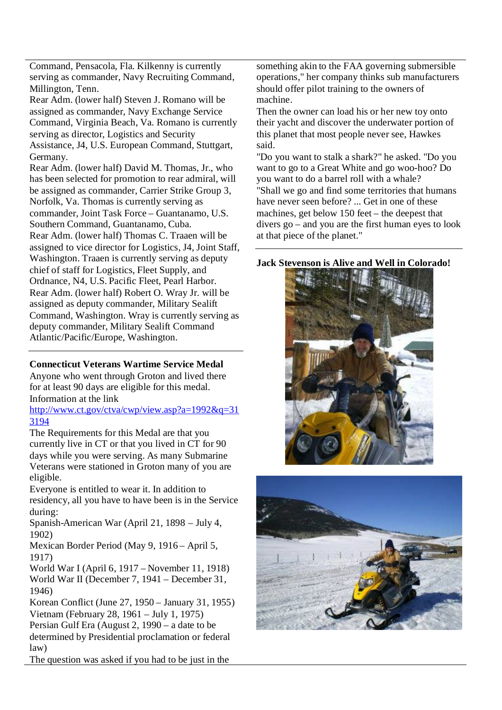Command, Pensacola, Fla. Kilkenny is currently serving as commander, Navy Recruiting Command, Millington, Tenn.

Rear Adm. (lower half) Steven J. Romano will be assigned as commander, Navy Exchange Service Command, Virginia Beach, Va. Romano is currently serving as director, Logistics and Security Assistance, J4, U.S. European Command, Stuttgart, Germany.

Rear Adm. (lower half) David M. Thomas, Jr., who has been selected for promotion to rear admiral, will be assigned as commander, Carrier Strike Group 3, Norfolk, Va. Thomas is currently serving as commander, Joint Task Force – Guantanamo, U.S. Southern Command, Guantanamo, Cuba. Rear Adm. (lower half) Thomas C. Traaen will be assigned to vice director for Logistics, J4, Joint Staff, Washington. Traaen is currently serving as deputy chief of staff for Logistics, Fleet Supply, and Ordnance, N4, U.S. Pacific Fleet, Pearl Harbor. Rear Adm. (lower half) Robert O. Wray Jr. will be assigned as deputy commander, Military Sealift Command, Washington. Wray is currently serving as deputy commander, Military Sealift Command Atlantic/Pacific/Europe, Washington.

# **Connecticut Veterans Wartime Service Medal**

Anyone who went through Groton and lived there for at least 90 days are eligible for this medal. Information at the link

http://www.ct.gov/ctva/cwp/view.asp?a=1992&q=31 3194

The Requirements for this Medal are that you currently live in CT or that you lived in CT for 90 days while you were serving. As many Submarine Veterans were stationed in Groton many of you are eligible.

Everyone is entitled to wear it. In addition to residency, all you have to have been is in the Service during:

Spanish-American War (April 21, 1898 – July 4, 1902)

Mexican Border Period (May 9, 1916 – April 5, 1917)

World War I (April 6, 1917 – November 11, 1918) World War II (December 7, 1941 – December 31, 1946)

Korean Conflict (June 27, 1950 – January 31, 1955) Vietnam (February 28, 1961 – July 1, 1975)

Persian Gulf Era (August 2, 1990 – a date to be determined by Presidential proclamation or federal law)

The question was asked if you had to be just in the

something akin to the FAA governing submersible operations," her company thinks sub manufacturers should offer pilot training to the owners of machine.

Then the owner can load his or her new toy onto their yacht and discover the underwater portion of this planet that most people never see, Hawkes said.

"Do you want to stalk a shark?" he asked. "Do you want to go to a Great White and go woo-hoo? Do you want to do a barrel roll with a whale? "Shall we go and find some territories that humans have never seen before? ... Get in one of these machines, get below 150 feet – the deepest that divers go – and you are the first human eyes to look at that piece of the planet."

# **Jack Stevenson is Alive and Well in Colorado!**